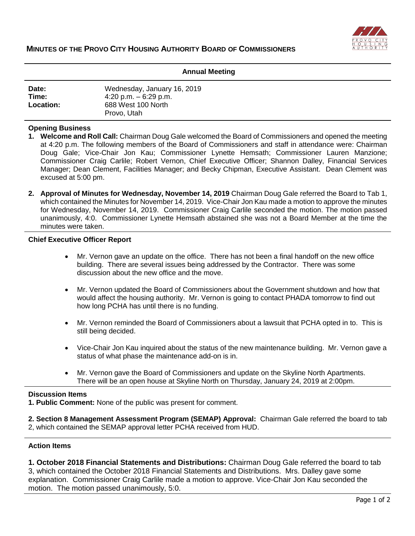

#### **Annual Meeting**

| Date:            | Wednesday, January 16, 2019 |
|------------------|-----------------------------|
| Time:            | 4:20 p.m. $-6:29$ p.m.      |
| <b>Location:</b> | 688 West 100 North          |
|                  | Provo, Utah                 |

#### **Opening Business**

- **1. Welcome and Roll Call:** Chairman Doug Gale welcomed the Board of Commissioners and opened the meeting at 4:20 p.m. The following members of the Board of Commissioners and staff in attendance were: Chairman Doug Gale; Vice-Chair Jon Kau; Commissioner Lynette Hemsath; Commissioner Lauren Manzione; Commissioner Craig Carlile; Robert Vernon, Chief Executive Officer; Shannon Dalley, Financial Services Manager; Dean Clement, Facilities Manager; and Becky Chipman, Executive Assistant. Dean Clement was excused at 5:00 pm.
- **2. Approval of Minutes for Wednesday, November 14, 2019** Chairman Doug Gale referred the Board to Tab 1, which contained the Minutes for November 14, 2019. Vice-Chair Jon Kau made a motion to approve the minutes for Wednesday, November 14, 2019. Commissioner Craig Carlile seconded the motion. The motion passed unanimously, 4:0. Commissioner Lynette Hemsath abstained she was not a Board Member at the time the minutes were taken.

#### **Chief Executive Officer Report**

- Mr. Vernon gave an update on the office. There has not been a final handoff on the new office building. There are several issues being addressed by the Contractor. There was some discussion about the new office and the move.
- Mr. Vernon updated the Board of Commissioners about the Government shutdown and how that would affect the housing authority. Mr. Vernon is going to contact PHADA tomorrow to find out how long PCHA has until there is no funding.
- Mr. Vernon reminded the Board of Commissioners about a lawsuit that PCHA opted in to. This is still being decided.
- Vice-Chair Jon Kau inquired about the status of the new maintenance building. Mr. Vernon gave a status of what phase the maintenance add-on is in.
- Mr. Vernon gave the Board of Commissioners and update on the Skyline North Apartments. There will be an open house at Skyline North on Thursday, January 24, 2019 at 2:00pm.

# **Discussion Items**

**1. Public Comment:** None of the public was present for comment.

**2. Section 8 Management Assessment Program (SEMAP) Approval:** Chairman Gale referred the board to tab 2, which contained the SEMAP approval letter PCHA received from HUD.

# **Action Items**

**1. October 2018 Financial Statements and Distributions:** Chairman Doug Gale referred the board to tab 3, which contained the October 2018 Financial Statements and Distributions. Mrs. Dalley gave some explanation. Commissioner Craig Carlile made a motion to approve. Vice-Chair Jon Kau seconded the motion. The motion passed unanimously, 5:0.